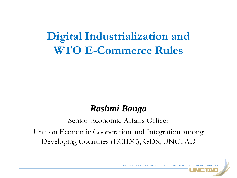## **Digital Industrialization and WTO E-Commerce Rules**

### *Rashmi Banga*

#### Senior Economic Affairs Officer

Unit on Economic Cooperation and Integration among Developing Countries (ECIDC), GDS, UNCTAD

UNITED NATIONS CONFERENCE ON TRADE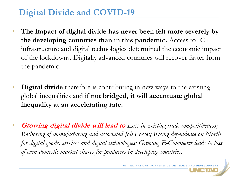### **Digital Divide and COVID-19**

- **The impact of digital divide has never been felt more severely by the developing countries than in this pandemic.** Access to ICT infrastructure and digital technologies determined the economic impact of the lockdowns. Digitally advanced countries will recover faster from the pandemic.
- **Digital divide** therefore is contributing in new ways to the existing global inequalities and **if not bridged, it will accentuate global inequality at an accelerating rate.**
- **Growing digital divide will lead to-***Loss in existing trade competitiveness; Reshoring of manufacturing and associated Job Losses; Rising dependence on North for digital goods, services and digital technologies; Growing E-Commerce leads to loss of even domestic market shares for producers in developing countries.*

UNITED NATIONS CONFERENCE ON TRADE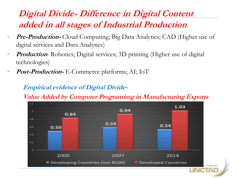### **Digital Divide- Difference in Digital Content added in all stages of Industrial Production**

- **Pre-Production-** Cloud Computing; Big Data Analytics; CAD (Higher use of digital services and Data Analytics)
- *Production* Robotics; Digital services; 3D printing (Higher use of digital technologies)
- **Post-Production-** E-Commerce platforms; AI; IoT

#### **Empirical evidence of Digital Divide-**

**Value Added by Computer Programimg in Manufacturing Exports**

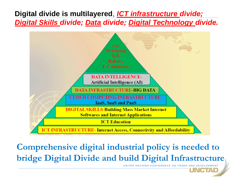#### **Digital divide is multilayered**, *ICT infrastructure divide; Digital Skills divide; Data divide; Digital Technology divide.*



**Comprehensive digital industrial policy is needed to bridge Digital Divide and build Digital Infrastructure**

CITALD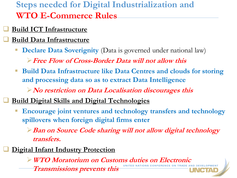**Steps needed for Digital Industrialization and WTO E-Commerce Rules**

- **Build ICT Infrastructure**
- **Build Data Infrastructure**
	- **Declare Data Soverignity** (Data is governed under national law)

**Free Flow of Cross-Border Data will not allow this**

 **Build Data Infrastructure like Data Centres and clouds for storing and processing data so as to extract Data Intelligence**

**No restriction on Data Localisation discourages this**

- **Build Digital Skills and Digital Technologies**
	- **Encourage joint ventures and technology transfers and technology spillovers when foreign digital firms enter**

**Ban on Source Code sharing will not allow digital technology transfers.**

**Digital Infant Industry Protection**

**WTO Moratorium on Customs duties on Electronic Transmissions prevents this**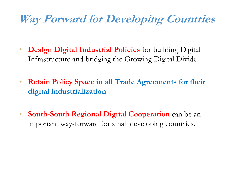# **Way Forward for Developing Countries**

- **Design Digital Industrial Policies** for building Digital Infrastructure and bridging the Growing Digital Divide
- **Retain Policy Space in all Trade Agreements for their digital industrialization**
- **South-South Regional Digital Cooperation** can be an important way-forward for small developing countries.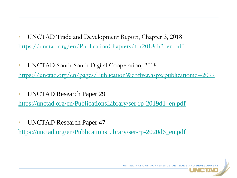- UNCTAD Trade and Development Report, Chapter 3, 2018 [https://unctad.org/en/PublicationChapters/tdr2018ch3\\_en.pdf](https://unctad.org/en/PublicationChapters/tdr2018ch3_en.pdf)
- UNCTAD South-South Digital Cooperation, 2018 <https://unctad.org/en/pages/PublicationWebflyer.aspx?publicationid=2099>
- UNCTAD Research Paper 29

[https://unctad.org/en/PublicationsLibrary/ser-rp-2019d1\\_en.pdf](https://unctad.org/en/PublicationsLibrary/ser-rp-2019d1_en.pdf)

• UNCTAD Research Paper 47

[https://unctad.org/en/PublicationsLibrary/ser-rp-2020d6\\_en.pdf](https://unctad.org/en/PublicationsLibrary/ser-rp-2020d6_en.pdf)